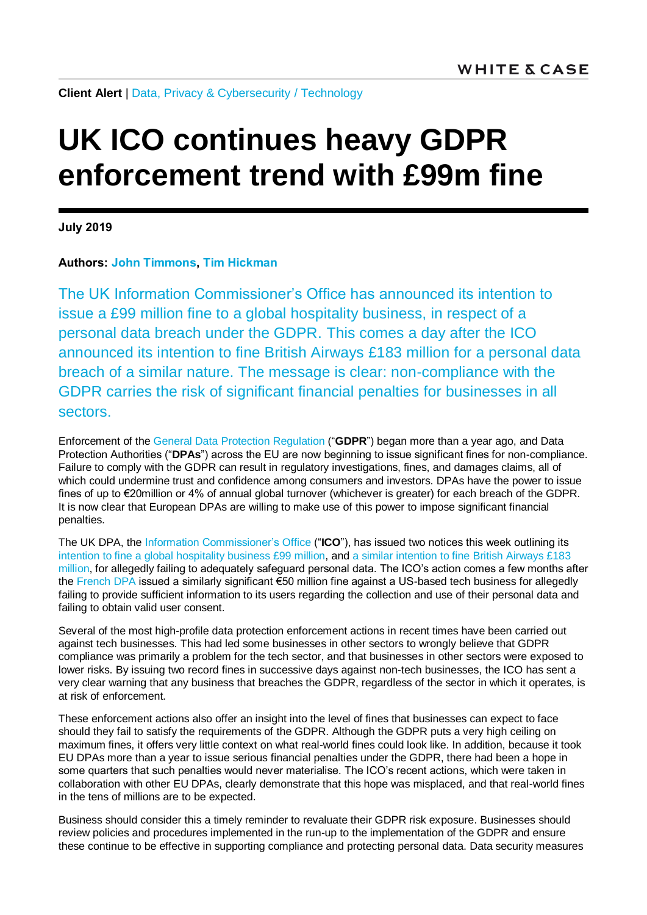**Client Alert** | [Data, Privacy & Cybersecurity](https://www.whitecase.com/law/practices/data-privacy-cybersecurity) / [Technology](https://www.whitecase.com/law/industries/technology)

## **UK ICO continues heavy GDPR enforcement trend with £99m fine**

**July 2019**

## **Authors: [John Timmons,](https://www.whitecase.com/people/john-timmons) [Tim Hickman](https://www.whitecase.com/people/tim-hickman)**

The UK Information Commissioner's Office has announced its intention to issue a £99 million fine to a global hospitality business, in respect of a personal data breach under the GDPR. This comes a day after the ICO [announced its intention to fine British Airways £183](https://www.whitecase.com/publications/alert/uk-ico-issues-ps183m-gdpr-fine-stark-warning-businesses) million for a personal data breach of a similar nature. The message is clear: non-compliance with the GDPR carries the risk of significant financial penalties for businesses in all sectors.

Enforcement of the [General Data Protection Regulation](https://eur-lex.europa.eu/legal-content/EN/TXT/HTML/?uri=CELEX:32016R0679&from=EN#d1e2161-1-1) ("**GDPR**") began more than a year ago, and Data Protection Authorities ("**DPAs**") across the EU are now beginning to issue significant fines for non-compliance. Failure to comply with the GDPR can result in regulatory investigations, fines, and damages claims, all of which could undermine trust and confidence among consumers and investors. DPAs have the power to issue fines of up to €20million or 4% of annual global turnover (whichever is greater) for each breach of the GDPR. It is now clear that European DPAs are willing to make use of this power to impose significant financial penalties.

The UK DPA, the [Information Commissioner's Office](https://ico.org.uk/) ("**ICO**"), has issued two notices this week outlining its [intention to fine a global hospitality business £99 million,](https://ico.org.uk/about-the-ico/news-and-events/news-and-blogs/2019/07/statement-intention-to-fine-marriott-international-inc-more-than-99-million-under-gdpr-for-data-breach/) and [a similar intention to fine British Airways £183](https://www.whitecase.com/publications/alert/uk-ico-issues-ps183m-gdpr-fine-stark-warning-businesses)  [million,](https://www.whitecase.com/publications/alert/uk-ico-issues-ps183m-gdpr-fine-stark-warning-businesses) for allegedly failing to adequately safeguard personal data. The ICO's action comes a few months after the [French DPA](https://www.cnil.fr/) issued a similarly significant €50 million fine against a US-based tech business for allegedly failing to provide sufficient information to its users regarding the collection and use of their personal data and failing to obtain valid user consent.

Several of the most high-profile data protection enforcement actions in recent times have been carried out against tech businesses. This had led some businesses in other sectors to wrongly believe that GDPR compliance was primarily a problem for the tech sector, and that businesses in other sectors were exposed to lower risks. By issuing two record fines in successive days against non-tech businesses, the ICO has sent a very clear warning that any business that breaches the GDPR, regardless of the sector in which it operates, is at risk of enforcement.

These enforcement actions also offer an insight into the level of fines that businesses can expect to face should they fail to satisfy the requirements of the GDPR. Although the GDPR puts a very high ceiling on maximum fines, it offers very little context on what real-world fines could look like. In addition, because it took EU DPAs more than a year to issue serious financial penalties under the GDPR, there had been a hope in some quarters that such penalties would never materialise. The ICO's recent actions, which were taken in collaboration with other EU DPAs, clearly demonstrate that this hope was misplaced, and that real-world fines in the tens of millions are to be expected.

Business should consider this a timely reminder to revaluate their GDPR risk exposure. Businesses should review policies and procedures implemented in the run-up to the implementation of the GDPR and ensure these continue to be effective in supporting compliance and protecting personal data. Data security measures